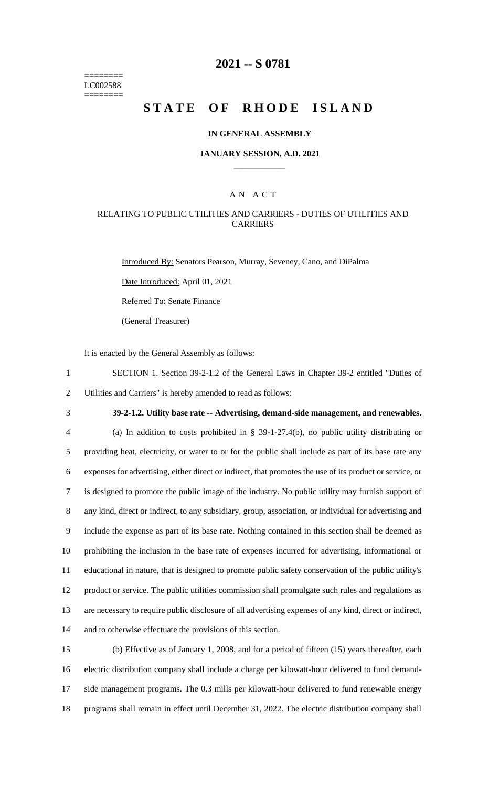======== LC002588 ========

## **2021 -- S 0781**

# **STATE OF RHODE ISLAND**

### **IN GENERAL ASSEMBLY**

### **JANUARY SESSION, A.D. 2021 \_\_\_\_\_\_\_\_\_\_\_\_**

### A N A C T

### RELATING TO PUBLIC UTILITIES AND CARRIERS - DUTIES OF UTILITIES AND CARRIERS

Introduced By: Senators Pearson, Murray, Seveney, Cano, and DiPalma

Date Introduced: April 01, 2021

Referred To: Senate Finance

(General Treasurer)

It is enacted by the General Assembly as follows:

- 1 SECTION 1. Section 39-2-1.2 of the General Laws in Chapter 39-2 entitled "Duties of 2 Utilities and Carriers" is hereby amended to read as follows:
- 

## 3 **39-2-1.2. Utility base rate -- Advertising, demand-side management, and renewables.**

 (a) In addition to costs prohibited in § 39-1-27.4(b), no public utility distributing or providing heat, electricity, or water to or for the public shall include as part of its base rate any expenses for advertising, either direct or indirect, that promotes the use of its product or service, or is designed to promote the public image of the industry. No public utility may furnish support of any kind, direct or indirect, to any subsidiary, group, association, or individual for advertising and include the expense as part of its base rate. Nothing contained in this section shall be deemed as prohibiting the inclusion in the base rate of expenses incurred for advertising, informational or educational in nature, that is designed to promote public safety conservation of the public utility's product or service. The public utilities commission shall promulgate such rules and regulations as are necessary to require public disclosure of all advertising expenses of any kind, direct or indirect, and to otherwise effectuate the provisions of this section.

 (b) Effective as of January 1, 2008, and for a period of fifteen (15) years thereafter, each electric distribution company shall include a charge per kilowatt-hour delivered to fund demand- side management programs. The 0.3 mills per kilowatt-hour delivered to fund renewable energy programs shall remain in effect until December 31, 2022. The electric distribution company shall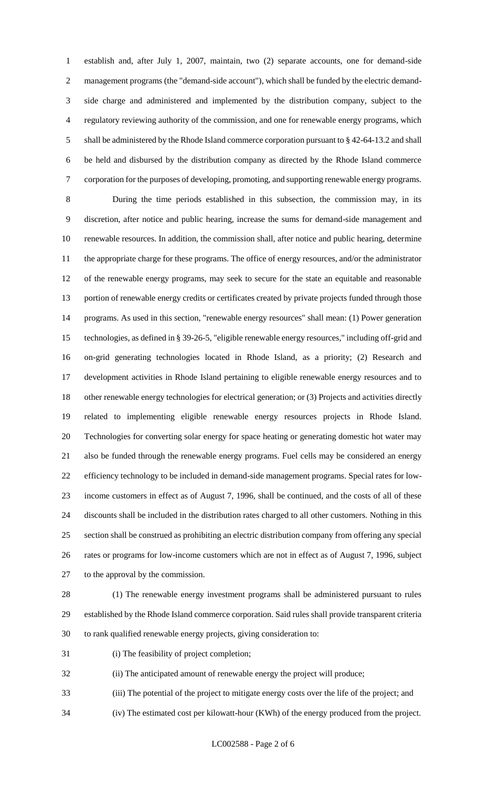establish and, after July 1, 2007, maintain, two (2) separate accounts, one for demand-side management programs (the "demand-side account"), which shall be funded by the electric demand- side charge and administered and implemented by the distribution company, subject to the regulatory reviewing authority of the commission, and one for renewable energy programs, which shall be administered by the Rhode Island commerce corporation pursuant to § 42-64-13.2 and shall be held and disbursed by the distribution company as directed by the Rhode Island commerce corporation for the purposes of developing, promoting, and supporting renewable energy programs.

 During the time periods established in this subsection, the commission may, in its discretion, after notice and public hearing, increase the sums for demand-side management and renewable resources. In addition, the commission shall, after notice and public hearing, determine the appropriate charge for these programs. The office of energy resources, and/or the administrator of the renewable energy programs, may seek to secure for the state an equitable and reasonable portion of renewable energy credits or certificates created by private projects funded through those programs. As used in this section, "renewable energy resources" shall mean: (1) Power generation technologies, as defined in § 39-26-5, "eligible renewable energy resources," including off-grid and on-grid generating technologies located in Rhode Island, as a priority; (2) Research and development activities in Rhode Island pertaining to eligible renewable energy resources and to other renewable energy technologies for electrical generation; or (3) Projects and activities directly related to implementing eligible renewable energy resources projects in Rhode Island. Technologies for converting solar energy for space heating or generating domestic hot water may also be funded through the renewable energy programs. Fuel cells may be considered an energy efficiency technology to be included in demand-side management programs. Special rates for low- income customers in effect as of August 7, 1996, shall be continued, and the costs of all of these discounts shall be included in the distribution rates charged to all other customers. Nothing in this section shall be construed as prohibiting an electric distribution company from offering any special rates or programs for low-income customers which are not in effect as of August 7, 1996, subject to the approval by the commission.

 (1) The renewable energy investment programs shall be administered pursuant to rules established by the Rhode Island commerce corporation. Said rules shall provide transparent criteria to rank qualified renewable energy projects, giving consideration to:

- (i) The feasibility of project completion;
- (ii) The anticipated amount of renewable energy the project will produce;
- (iii) The potential of the project to mitigate energy costs over the life of the project; and
- (iv) The estimated cost per kilowatt-hour (KWh) of the energy produced from the project.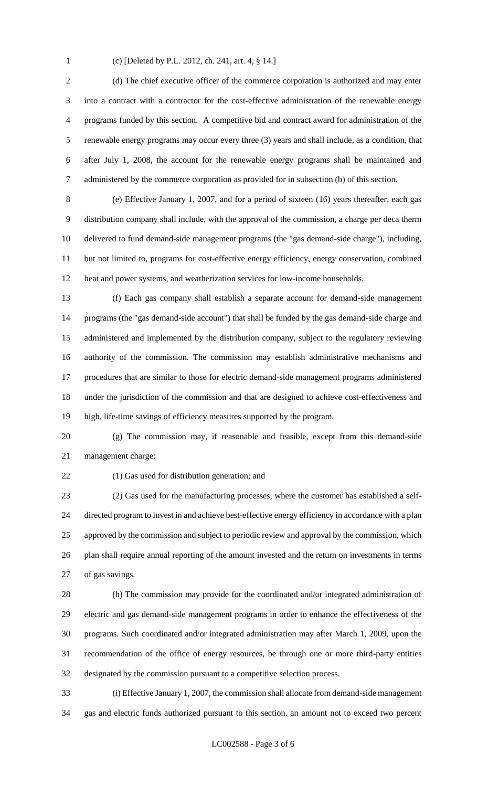(c) [Deleted by P.L. 2012, ch. 241, art. 4, § 14.]

 (d) The chief executive officer of the commerce corporation is authorized and may enter into a contract with a contractor for the cost-effective administration of the renewable energy programs funded by this section. A competitive bid and contract award for administration of the renewable energy programs may occur every three (3) years and shall include, as a condition, that after July 1, 2008, the account for the renewable energy programs shall be maintained and administered by the commerce corporation as provided for in subsection (b) of this section.

 (e) Effective January 1, 2007, and for a period of sixteen (16) years thereafter, each gas distribution company shall include, with the approval of the commission, a charge per deca therm delivered to fund demand-side management programs (the "gas demand-side charge"), including, but not limited to, programs for cost-effective energy efficiency, energy conservation, combined heat and power systems, and weatherization services for low-income households.

 (f) Each gas company shall establish a separate account for demand-side management programs (the "gas demand-side account") that shall be funded by the gas demand-side charge and administered and implemented by the distribution company, subject to the regulatory reviewing authority of the commission. The commission may establish administrative mechanisms and procedures that are similar to those for electric demand-side management programs administered under the jurisdiction of the commission and that are designed to achieve cost-effectiveness and high, life-time savings of efficiency measures supported by the program.

 (g) The commission may, if reasonable and feasible, except from this demand-side management charge:

(1) Gas used for distribution generation; and

 (2) Gas used for the manufacturing processes, where the customer has established a self- directed program to invest in and achieve best-effective energy efficiency in accordance with a plan 25 approved by the commission and subject to periodic review and approval by the commission, which plan shall require annual reporting of the amount invested and the return on investments in terms of gas savings.

 (h) The commission may provide for the coordinated and/or integrated administration of electric and gas demand-side management programs in order to enhance the effectiveness of the programs. Such coordinated and/or integrated administration may after March 1, 2009, upon the recommendation of the office of energy resources, be through one or more third-party entities designated by the commission pursuant to a competitive selection process.

 (i) Effective January 1, 2007, the commission shall allocate from demand-side management gas and electric funds authorized pursuant to this section, an amount not to exceed two percent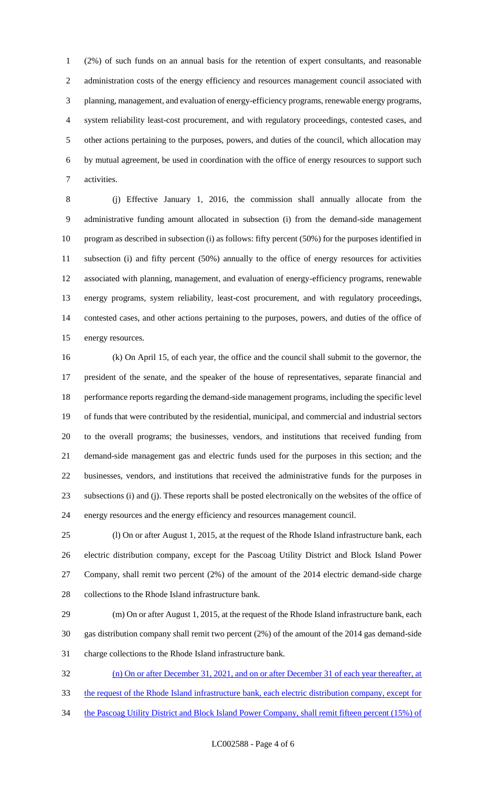(2%) of such funds on an annual basis for the retention of expert consultants, and reasonable 2 administration costs of the energy efficiency and resources management council associated with planning, management, and evaluation of energy-efficiency programs, renewable energy programs, system reliability least-cost procurement, and with regulatory proceedings, contested cases, and other actions pertaining to the purposes, powers, and duties of the council, which allocation may by mutual agreement, be used in coordination with the office of energy resources to support such activities.

 (j) Effective January 1, 2016, the commission shall annually allocate from the administrative funding amount allocated in subsection (i) from the demand-side management program as described in subsection (i) as follows: fifty percent (50%) for the purposes identified in subsection (i) and fifty percent (50%) annually to the office of energy resources for activities associated with planning, management, and evaluation of energy-efficiency programs, renewable energy programs, system reliability, least-cost procurement, and with regulatory proceedings, contested cases, and other actions pertaining to the purposes, powers, and duties of the office of energy resources.

 (k) On April 15, of each year, the office and the council shall submit to the governor, the president of the senate, and the speaker of the house of representatives, separate financial and performance reports regarding the demand-side management programs, including the specific level of funds that were contributed by the residential, municipal, and commercial and industrial sectors to the overall programs; the businesses, vendors, and institutions that received funding from demand-side management gas and electric funds used for the purposes in this section; and the businesses, vendors, and institutions that received the administrative funds for the purposes in subsections (i) and (j). These reports shall be posted electronically on the websites of the office of energy resources and the energy efficiency and resources management council.

 (l) On or after August 1, 2015, at the request of the Rhode Island infrastructure bank, each electric distribution company, except for the Pascoag Utility District and Block Island Power Company, shall remit two percent (2%) of the amount of the 2014 electric demand-side charge collections to the Rhode Island infrastructure bank.

 (m) On or after August 1, 2015, at the request of the Rhode Island infrastructure bank, each gas distribution company shall remit two percent (2%) of the amount of the 2014 gas demand-side charge collections to the Rhode Island infrastructure bank.

 (n) On or after December 31, 2021, and on or after December 31 of each year thereafter, at the request of the Rhode Island infrastructure bank, each electric distribution company, except for

34 the Pascoag Utility District and Block Island Power Company, shall remit fifteen percent (15%) of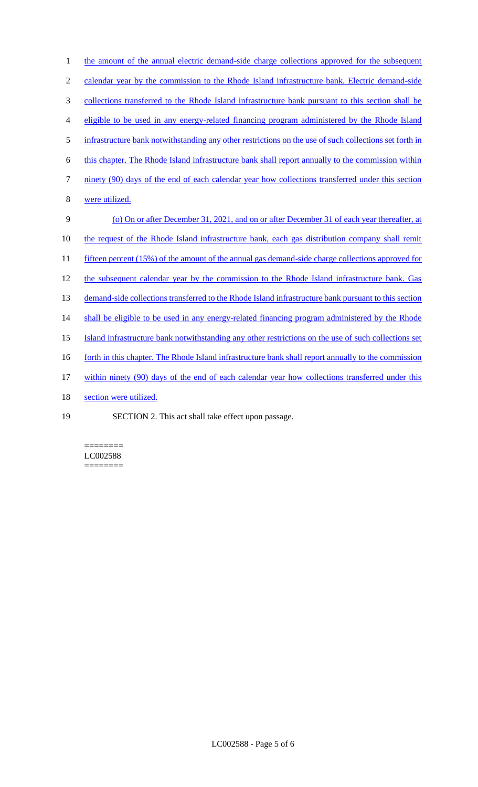| $\mathbf{1}$     | the amount of the annual electric demand-side charge collections approved for the subsequent           |
|------------------|--------------------------------------------------------------------------------------------------------|
| $\mathfrak{2}$   | calendar year by the commission to the Rhode Island infrastructure bank. Electric demand-side          |
| $\mathfrak{Z}$   | collections transferred to the Rhode Island infrastructure bank pursuant to this section shall be      |
| $\overline{4}$   | eligible to be used in any energy-related financing program administered by the Rhode Island           |
| 5                | infrastructure bank notwithstanding any other restrictions on the use of such collections set forth in |
| 6                | this chapter. The Rhode Island infrastructure bank shall report annually to the commission within      |
| $\boldsymbol{7}$ | ninety (90) days of the end of each calendar year how collections transferred under this section       |
| $\, 8$           | were utilized.                                                                                         |
| 9                | (o) On or after December 31, 2021, and on or after December 31 of each year thereafter, at             |
| 10               | the request of the Rhode Island infrastructure bank, each gas distribution company shall remit         |
| 11               | fifteen percent (15%) of the amount of the annual gas demand-side charge collections approved for      |
| 12               | the subsequent calendar year by the commission to the Rhode Island infrastructure bank. Gas            |
| 13               | demand-side collections transferred to the Rhode Island infrastructure bank pursuant to this section   |
| 14               | shall be eligible to be used in any energy-related financing program administered by the Rhode         |
| 15               | Island infrastructure bank notwithstanding any other restrictions on the use of such collections set   |
| 16               | forth in this chapter. The Rhode Island infrastructure bank shall report annually to the commission    |
| 17               | within ninety (90) days of the end of each calendar year how collections transferred under this        |
| 18               | section were utilized.                                                                                 |
| 19               | SECTION 2. This act shall take effect upon passage.                                                    |

======== LC002588  $=$